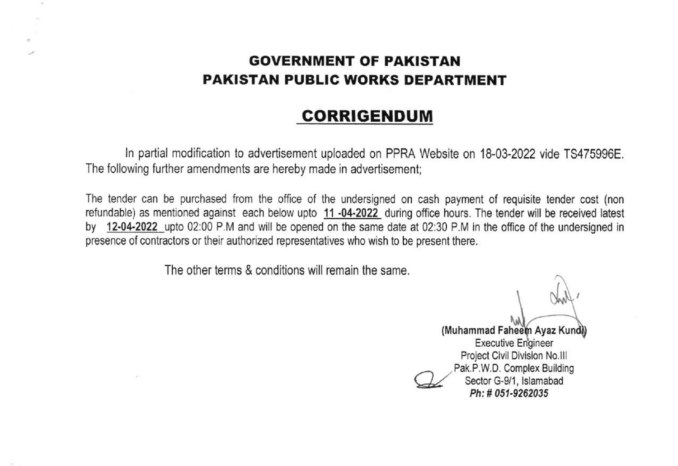## GOVERNMENT OF PAKISTAN PAKISTAN PUBLIC WORKS DEPARTMENT

# CORRIGENDUM

In partial modification to advertisement uploaded on PPRA Website on 18-03-2022 vide TS475996E. The following further amendments are hereby made in advertisement;

The tender can be purchased from the office of the undersigned on cash payment of requisite tender cost (non refundable) as mentioned against each below upto 11-04-2022 during office hours. The tender will be received latest by 12-04-2022 upto 02:00 P.M and will be opened on the same date at 02:30 P.M in the office of the undersigned in presence of contractors or their authorized representatives who wish to be present there.

The other terms & conditions will remain the same.

 $\sim$ 

 $W\,$ 

(Muhammad Faheem Ayaz Kundi) **Executive Engineer** Project Civil Division No<br>Pak.P.W.D. Complex Buil<br>Sector G-9/1, Islamaba<br>Ph: # 051-9262035 Pak.P.W.D. Complex Building Sector G-9/1, Islamabad Ph: # 051-9262035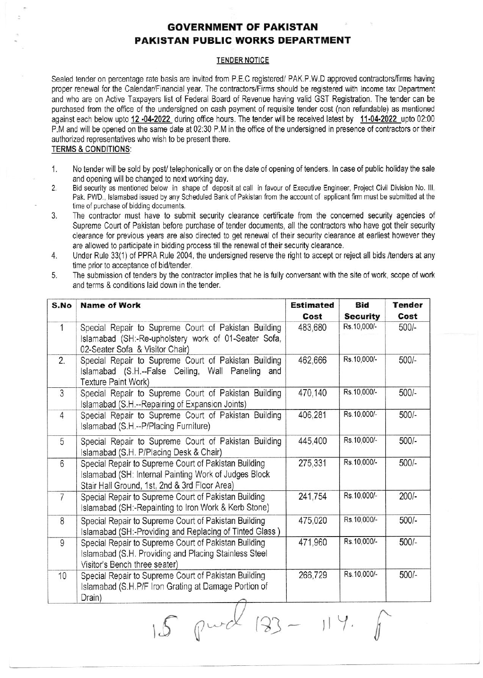### **GOVERNMENT OF PAKISTAN PAKISTAN PUBLIC WORKS DEPARTMENT**

#### **TENDER NOTICE**

Sealed tender on percentage rate basis are invited from P.E.C registered/ PAK.P.W.D approved contractors/firms having proper renewal for the Calendar/Financial year. The contractors/Firms should be registered with Income tax Department and who are on Active Taxpayers list of Federal Board of Revenue having valid GST Registration. The tender can be purchased from the office of the undersigned on cash payment of requisite tender cost (non refundable) as mentioned against each below upto 12 -04-2022 during office hours. The tender will be received latest by 11-04-2022 upto 02:00 P.M and will be opened on the same date at 02:30 P.M in the office of the undersigned in presence of contractors or their authorized representatives who wish to be present there.

### **TERMS & CONDITIONS:**

- $1.$ No tender will be sold by post/ telephonically or on the date of opening of tenders. In case of public holiday the sale and opening will be changed to next working day.
- $2.$ Bid security as mentioned below in shape of deposit at call in favour of Executive Engineer, Project Civil Division No. III, Pak, PWD., Islamabad issued by any Scheduled Bank of Pakistan from the account of applicant firm must be submitted at the time of purchase of bidding documents.
- 3. The contractor must have to submit security clearance certificate from the concerned security agencies of Supreme Court of Pakistan before purchase of tender documents, all the contractors who have got their security clearance for previous years are also directed to get renewal of their security clearance at earliest however they are allowed to participate in bidding process till the renewal of their security clearance.
- $4.$ Under Rule 33(1) of PPRA Rule 2004, the undersigned reserve the right to accept or reject all bids /tenders at any time prior to acceptance of bid/tender.
- 5. The submission of tenders by the contractor implies that he is fully conversant with the site of work, scope of work and terms & conditions laid down in the tender.

| 1<br>Special Repair to Supreme Court of Pakistan Building<br>Islamabad (SH:-Re-upholstery work of 01-Seater Sofa,                                                   |                                                                                                               | 483,680 |             |         |
|---------------------------------------------------------------------------------------------------------------------------------------------------------------------|---------------------------------------------------------------------------------------------------------------|---------|-------------|---------|
| 02-Seater Sofa & Visitor Chair)                                                                                                                                     |                                                                                                               |         | Rs.10,000/- | $500/-$ |
| 2.<br>Special Repair to Supreme Court of Pakistan Building<br>Islamabad (S.H.--False Ceiling, Wall Paneling<br>Texture Paint Work)                                  | and                                                                                                           | 462,666 | Rs.10,000/- | $500/-$ |
| 3<br>Special Repair to Supreme Court of Pakistan Building<br>Islamabad (S.H.--Repairing of Expansion Joints)                                                        |                                                                                                               | 470,140 | Rs.10,000/- | 500/-   |
| Special Repair to Supreme Court of Pakistan Building<br>$\overline{4}$<br>Islamabad (S.H.--P/Placing Furniture)                                                     |                                                                                                               | 406,281 | Rs.10,000/- | $500/-$ |
| Special Repair to Supreme Court of Pakistan Building<br>5<br>Islamabad (S.H. P/Placing Desk & Chair)                                                                |                                                                                                               | 445,400 | Rs.10,000/- | $500/-$ |
| Special Repair to Supreme Court of Pakistan Building<br>6<br>Islamabad (SH: Internal Painting Work of Judges Block<br>Stair Hall Ground, 1st, 2nd & 3rd Floor Area) |                                                                                                               | 275,331 | Rs.10,000/- | $500/-$ |
| $\overline{7}$<br>Special Repair to Supreme Court of Pakistan Building<br>Islamabad (SH:-Repainting to Iron Work & Kerb Stone)                                      |                                                                                                               | 241,754 | Rs.10,000/- | $200/-$ |
| 8<br>Special Repair to Supreme Court of Pakistan Building<br>Islamabad (SH:-Providing and Replacing of Tinted Glass)                                                |                                                                                                               | 475,020 | Rs.10,000/- | $500/-$ |
| 9<br>Visitor's Bench three seater)                                                                                                                                  | Special Repair to Supreme Court of Pakistan Building<br>Islamabad (S.H. Providing and Placing Stainless Steel |         | Rs.10,000/- | $500/-$ |
| Special Repair to Supreme Court of Pakistan Building<br>10<br>Islamabad (S.H.P/F Iron Grating at Damage Portion of<br>Drain)                                        |                                                                                                               | 266,729 | Rs.10,000/- | $500/-$ |